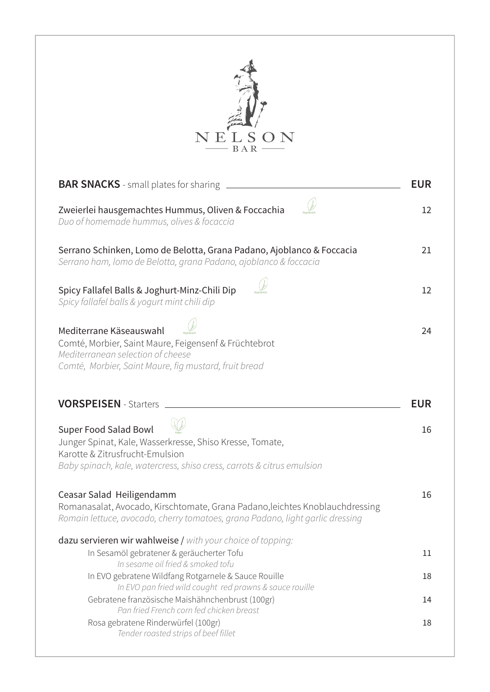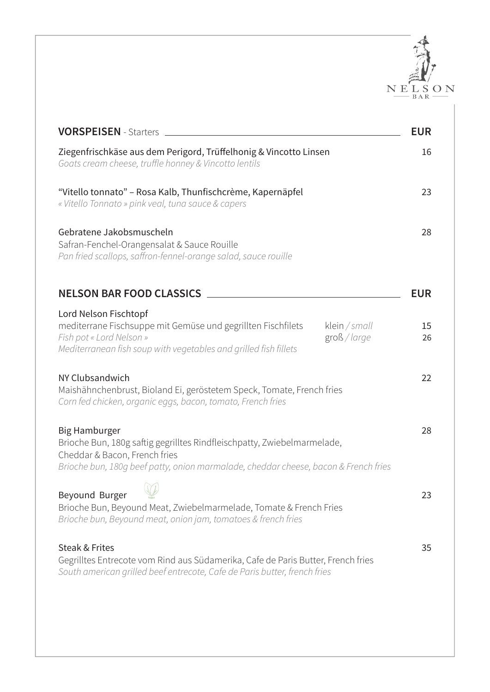

| <b>VORSPEISEN</b> - Starters                                                                                                                                                                                            | <b>EUR</b> |
|-------------------------------------------------------------------------------------------------------------------------------------------------------------------------------------------------------------------------|------------|
| Ziegenfrischkäse aus dem Perigord, Trüffelhonig & Vincotto Linsen<br>Goats cream cheese, truffle honney & Vincotto lentils                                                                                              | 16         |
| "Vitello tonnato" – Rosa Kalb, Thunfischcrème, Kapernäpfel<br>« Vitello Tonnato » pink veal, tuna sauce & capers                                                                                                        | 23         |
| Gebratene Jakobsmuscheln<br>Safran-Fenchel-Orangensalat & Sauce Rouille<br>Pan fried scallops, saffron-fennel-orange salad, sauce rouille                                                                               | 28         |
| <b>NELSON BAR FOOD CLASSICS</b>                                                                                                                                                                                         | <b>EUR</b> |
| Lord Nelson Fischtopf<br>mediterrane Fischsuppe mit Gemüse und gegrillten Fischfilets<br>klein / small<br>Fish pot « Lord Nelson »<br>groß / large<br>Mediterranean fish soup with vegetables and grilled fish fillets  | 15<br>26   |
| NY Clubsandwich<br>Maishähnchenbrust, Bioland Ei, geröstetem Speck, Tomate, French fries<br>Corn fed chicken, organic eggs, bacon, tomato, French fries                                                                 | 22         |
| <b>Big Hamburger</b><br>Brioche Bun, 180g saftig gegrilltes Rindfleischpatty, Zwiebelmarmelade,<br>Cheddar & Bacon, French fries<br>Brioche bun, 180q beef patty, onion marmalade, cheddar cheese, bacon & French fries | 28         |
| Beyound Burger<br>Brioche Bun, Beyound Meat, Zwiebelmarmelade, Tomate & French Fries<br>Brioche bun, Beyound meat, onion jam, tomatoes & french fries                                                                   | 23         |
| Steak & Frites<br>Gegrilltes Entrecote vom Rind aus Südamerika, Cafe de Paris Butter, French fries<br>South american grilled beef entrecote, Cafe de Paris butter, french fries                                         | 35         |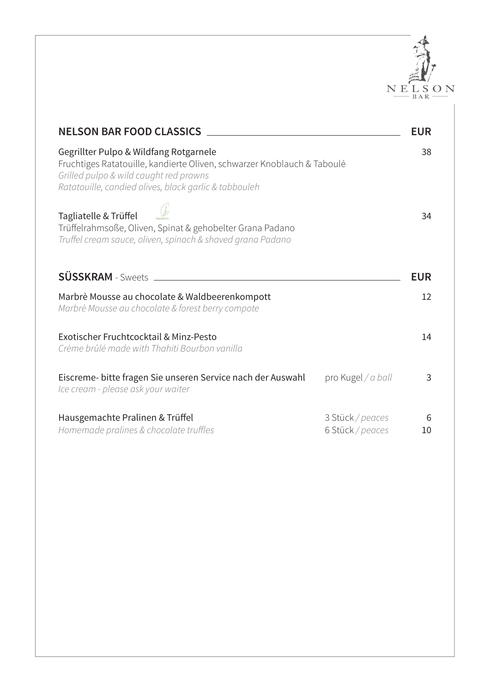

| <b>NELSON BAR FOOD CLASSICS</b>                                                                                                                                                                                      |                                      | <b>EUR</b> |
|----------------------------------------------------------------------------------------------------------------------------------------------------------------------------------------------------------------------|--------------------------------------|------------|
| Gegrillter Pulpo & Wildfang Rotgarnele<br>Fruchtiges Ratatouille, kandierte Oliven, schwarzer Knoblauch & Taboulé<br>Grilled pulpo & wild caught red prawns<br>Ratatouille, candied olives, black garlic & tabbouleh |                                      | 38         |
| Tagliatelle & Trüffel<br>Trüffelrahmsoße, Oliven, Spinat & gehobelter Grana Padano<br>Truffel cream sauce, oliven, spinach & shaved grana Padano                                                                     |                                      | 34         |
| <b>SÜSSKRAM</b> - Sweets                                                                                                                                                                                             |                                      | <b>EUR</b> |
| Marbrè Mousse au chocolate & Waldbeerenkompott<br>Marbrè Mousse au chocolate & forest berry compote                                                                                                                  |                                      | 12         |
| Exotischer Fruchtcocktail & Minz-Pesto<br>Crème brûlé made with Thahiti Bourbon vanilla                                                                                                                              |                                      | 14         |
| Eiscreme- bitte fragen Sie unseren Service nach der Auswahl<br>Ice cream - please ask your waiter                                                                                                                    | pro Kugel / a ball                   | 3          |
| Hausgemachte Pralinen & Trüffel<br>Homemade pralines & chocolate truffles                                                                                                                                            | 3 Stück / peaces<br>6 Stück / peaces | 6<br>10    |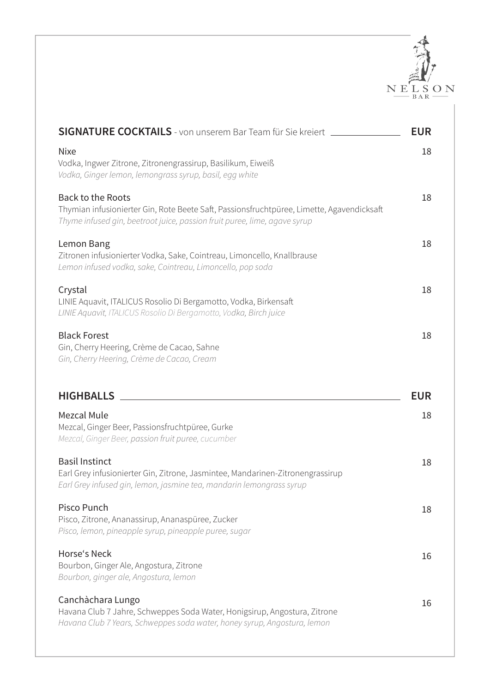

| <b>SIGNATURE COCKTAILS</b> - von unserem Bar Team für Sie kreiert                                                                                                                                  | <b>EUR</b> |
|----------------------------------------------------------------------------------------------------------------------------------------------------------------------------------------------------|------------|
| <b>Nixe</b><br>Vodka, Ingwer Zitrone, Zitronengrassirup, Basilikum, Eiweiß<br>Vodka, Ginger lemon, lemongrass syrup, basil, egg white                                                              | 18         |
| <b>Back to the Roots</b><br>Thymian infusionierter Gin, Rote Beete Saft, Passionsfruchtpüree, Limette, Agavendicksaft<br>Thyme infused gin, beetroot juice, passion fruit puree, lime, agave syrup | 18         |
| Lemon Bang<br>Zitronen infusionierter Vodka, Sake, Cointreau, Limoncello, Knallbrause<br>Lemon infused vodka, sake, Cointreau, Limoncello, pop soda                                                | 18         |
| Crystal<br>LINIE Aquavit, ITALICUS Rosolio Di Bergamotto, Vodka, Birkensaft<br>LINIE Aquavit, ITALICUS Rosolio Di Bergamotto, Vodka, Birch juice                                                   | 18         |
| <b>Black Forest</b><br>Gin, Cherry Heering, Crème de Cacao, Sahne<br>Gin, Cherry Heering, Crème de Cacao, Cream                                                                                    | 18         |
| <b>HIGHBALLS</b>                                                                                                                                                                                   | <b>EUR</b> |
| <b>Mezcal Mule</b><br>Mezcal, Ginger Beer, Passionsfruchtpüree, Gurke<br>Mezcal, Ginger Beer, passion fruit puree, cucumber                                                                        | 18         |
| <b>Basil Instinct</b><br>Earl Grey infusionierter Gin, Zitrone, Jasmintee, Mandarinen-Zitronengrassirup                                                                                            | 18         |
| Earl Grey infused gin, lemon, jasmine tea, mandarin lemongrass syrup                                                                                                                               |            |
| Pisco Punch<br>Pisco, Zitrone, Ananassirup, Ananaspüree, Zucker<br>Pisco, lemon, pineapple syrup, pineapple puree, sugar                                                                           | 18         |
| Horse's Neck<br>Bourbon, Ginger Ale, Angostura, Zitrone<br>Bourbon, ginger ale, Angostura, lemon                                                                                                   | 16         |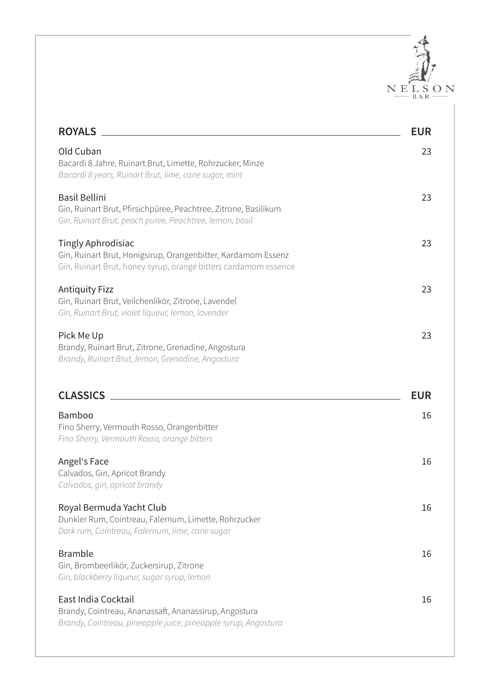

| <b>ROYALS</b>                                                                                                                                                 | <b>EUR</b> |
|---------------------------------------------------------------------------------------------------------------------------------------------------------------|------------|
| Old Cuban<br>Bacardi 8 Jahre, Ruinart Brut, Limette, Rohrzucker, Minze<br>Bacardi 8 years, Ruinart Brut, lime, cane sugar, mint                               | 23         |
| <b>Basil Bellini</b><br>Gin, Ruinart Brut, Pfirsichpüree, Peachtree, Zitrone, Basilikum<br>Gin, Ruinart Brut, peach puree, Peachtree, lemon, basil            | 23         |
| <b>Tingly Aphrodisiac</b><br>Gin, Ruinart Brut, Honigsirup, Orangenbitter, Kardamom Essenz<br>Gin, Ruinart Brut, honey syrup, orange bitters cardamom essence | 23         |
| <b>Antiquity Fizz</b><br>Gin, Ruinart Brut, Veilchenlikör, Zitrone, Lavendel<br>Gin, Ruinart Brut, violet liqueur, lemon, lavender                            | 23         |
| Pick Me Up<br>Brandy, Ruinart Brut, Zitrone, Grenadine, Angostura<br>Brandy, Ruinart Brut, lemon, Grenadine, Angostura                                        | 23         |
|                                                                                                                                                               |            |
| <b>CLASSICS</b>                                                                                                                                               | <b>EUR</b> |
| Bamboo<br>Fino Sherry, Vermouth Rosso, Orangenbitter<br>Fino Sherry, Vermouth Rosso, orange bitters                                                           | 16         |
| Angel's Face<br>Calvados, Gin, Apricot Brandy<br>Calvados, gin, apricot brandy                                                                                | 16         |
| Royal Bermuda Yacht Club<br>Dunkler Rum, Cointreau, Falernum, Limette, Rohrzucker<br>Dark rum, Cointreau, Falernum, lime, cane sugar                          | 16         |
| <b>Bramble</b><br>Gin, Brombeerlikör, Zuckersirup, Zitrone<br>Gin, blackberry liqueur, sugar syrup, lemon                                                     | 16         |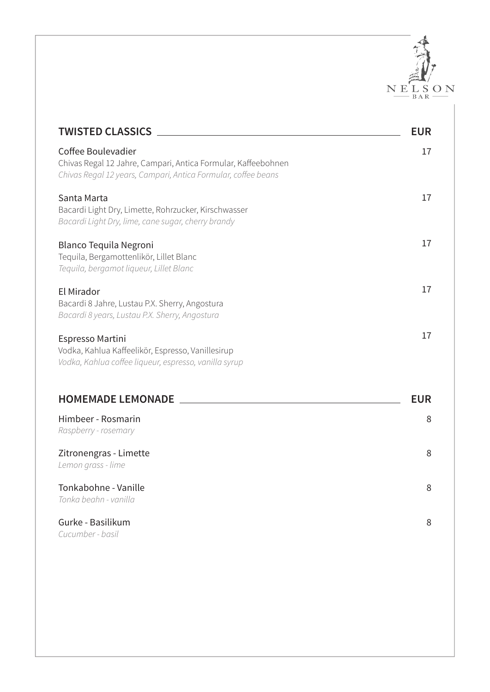

| <b>TWISTED CLASSICS</b>                                                                                                                              | <b>EUR</b> |
|------------------------------------------------------------------------------------------------------------------------------------------------------|------------|
| Coffee Boulevadier<br>Chivas Regal 12 Jahre, Campari, Antica Formular, Kaffeebohnen<br>Chivas Regal 12 years, Campari, Antica Formular, coffee beans | 17         |
| Santa Marta<br>Bacardi Light Dry, Limette, Rohrzucker, Kirschwasser<br>Bacardi Light Dry, lime, cane sugar, cherry brandy                            | 17         |
| <b>Blanco Tequila Negroni</b><br>Tequila, Bergamottenlikör, Lillet Blanc<br>Tequila, bergamot liqueur, Lillet Blanc                                  | 17         |
| El Mirador<br>Bacardi 8 Jahre, Lustau P.X. Sherry, Angostura<br>Bacardi 8 years, Lustau P.X. Sherry, Angostura                                       | 17         |
| Espresso Martini<br>Vodka, Kahlua Kaffeelikör, Espresso, Vanillesirup<br>Vodka, Kahlua coffee liqueur, espresso, vanilla syrup                       | 17         |
| <b>HOMEMADE LEMONADE</b>                                                                                                                             | <b>EUR</b> |
| Himbeer - Rosmarin<br>Raspberry - rosemary                                                                                                           | 8          |
| Zitronengras - Limette<br>Lemon grass - lime                                                                                                         | 8          |
| Tonkabohne - Vanille<br>Tonka beahn - vanilla                                                                                                        | 8          |
| Gurke - Basilikum<br>Cucumber - basil                                                                                                                | 8          |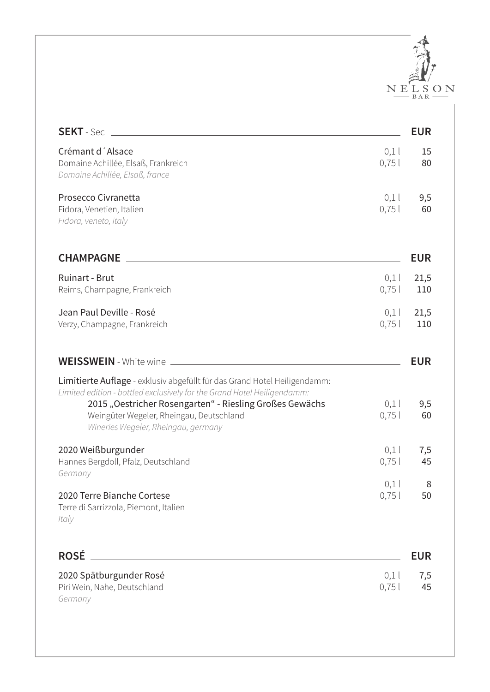

| <b>SEKT</b> - Sec                                                                                                                                                                                                                                                                                  |              | <b>EUR</b>  |
|----------------------------------------------------------------------------------------------------------------------------------------------------------------------------------------------------------------------------------------------------------------------------------------------------|--------------|-------------|
| Crémant d'Alsace<br>Domaine Achillée, Elsaß, Frankreich<br>Domaine Achillée, Elsaß, france                                                                                                                                                                                                         | 0,1<br>0,75  | 15<br>80    |
| Prosecco Civranetta<br>Fidora, Venetien, Italien<br>Fidora, veneto, italy                                                                                                                                                                                                                          | 0,1<br>0,75  | 9,5<br>60   |
| <b>CHAMPAGNE</b>                                                                                                                                                                                                                                                                                   |              | <b>EUR</b>  |
| <b>Ruinart - Brut</b><br>Reims, Champagne, Frankreich                                                                                                                                                                                                                                              | 0,1<br>0,75  | 21,5<br>110 |
| Jean Paul Deville - Rosé<br>Verzy, Champagne, Frankreich                                                                                                                                                                                                                                           | 0,1<br>0,75  | 21,5<br>110 |
| <b>WEISSWEIN</b> - White wine                                                                                                                                                                                                                                                                      |              | <b>EUR</b>  |
| Limitierte Auflage - exklusiv abgefüllt für das Grand Hotel Heiligendamm:<br>Limited edition - bottled exclusively for the Grand Hotel Heiligendamm:<br>2015 "Oestricher Rosengarten" - Riesling Großes Gewächs<br>Weingüter Wegeler, Rheingau, Deutschland<br>Wineries Wegeler, Rheingau, germany | 0,1<br>0,75  | 9,5<br>60   |
| 2020 Weißburgunder<br>Hannes Bergdoll, Pfalz, Deutschland<br>Germany                                                                                                                                                                                                                               | 0,1<br>0,75  | 7,5<br>45   |
| 2020 Terre Bianche Cortese<br>Terre di Sarrizzola, Piemont, Italien<br>Italy                                                                                                                                                                                                                       | 0,1<br>0,75  | 8<br>50     |
| <b>ROSÉ</b>                                                                                                                                                                                                                                                                                        |              | <b>EUR</b>  |
| 2020 Spätburgunder Rosé<br>Piri Wein, Nahe, Deutschland                                                                                                                                                                                                                                            | 0,1<br>0,751 | 7,5<br>45   |

*Germany*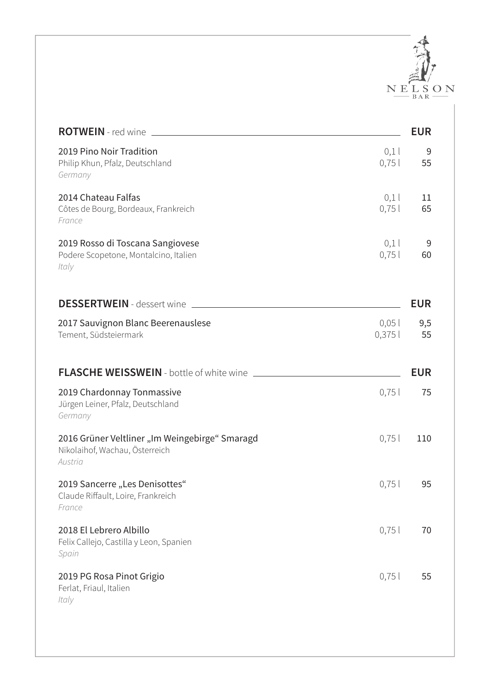

| <b>ROTWEIN</b> - red wine                                                                           | <b>EUR</b> |
|-----------------------------------------------------------------------------------------------------|------------|
| 2019 Pino Noir Tradition<br>0,1<br>0,75<br>Philip Khun, Pfalz, Deutschland<br>Germany               | 9<br>55    |
| 2014 Chateau Falfas<br>0,1<br>Côtes de Bourg, Bordeaux, Frankreich<br>0,75<br>France                | 11<br>65   |
| 0,1<br>2019 Rosso di Toscana Sangiovese<br>Podere Scopetone, Montalcino, Italien<br>0,751<br>Italy  | 9<br>60    |
| <b>DESSERTWEIN</b> - dessert wine                                                                   | <b>EUR</b> |
| 2017 Sauvignon Blanc Beerenauslese<br>$0,05$ l<br>0,375<br>Tement, Südsteiermark                    | 9,5<br>55  |
| <b>FLASCHE WEISSWEIN</b> - bottle of white wine                                                     | <b>EUR</b> |
| 2019 Chardonnay Tonmassive<br>0,75<br>Jürgen Leiner, Pfalz, Deutschland<br>Germany                  | 75         |
| 2016 Grüner Veltliner "Im Weingebirge" Smaragd<br>0,75<br>Nikolaihof, Wachau, Österreich<br>Austria | 110        |
| 2019 Sancerre "Les Denisottes"<br>0,75<br>Claude Riffault, Loire, Frankreich<br>France              | 95         |
| 2018 El Lebrero Albillo<br>0,75<br>Felix Callejo, Castilla y Leon, Spanien<br>Spain                 | 70         |
| 0,751<br>2019 PG Rosa Pinot Grigio<br>Ferlat, Friaul, Italien<br>Italy                              | 55         |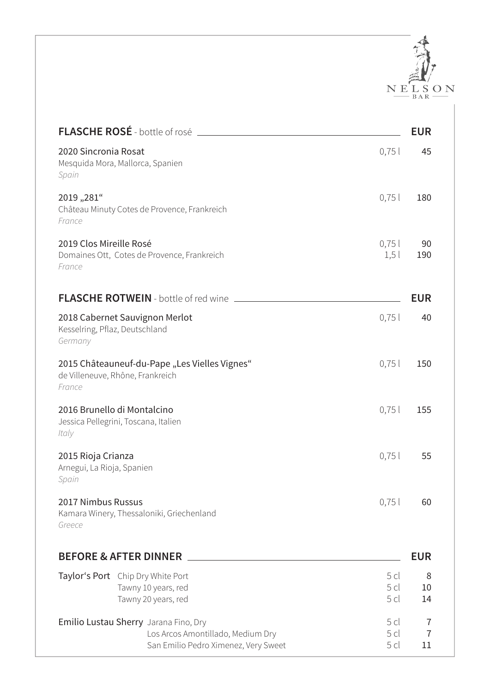

| FLASCHE ROSÉ - bottle of rosé                                                                                      |                                            | <b>EUR</b>                |
|--------------------------------------------------------------------------------------------------------------------|--------------------------------------------|---------------------------|
| 2020 Sincronia Rosat<br>Mesquida Mora, Mallorca, Spanien<br>Spain                                                  | 0,75                                       | 45                        |
| 2019,,281"<br>Château Minuty Cotes de Provence, Frankreich<br>France                                               | 0,75                                       | 180                       |
| 2019 Clos Mireille Rosé<br>Domaines Ott, Cotes de Provence, Frankreich<br>France                                   | 0,751<br>1,5                               | 90<br>190                 |
|                                                                                                                    |                                            | <b>EUR</b>                |
| 2018 Cabernet Sauvignon Merlot<br>Kesselring, Pflaz, Deutschland<br>Germany                                        | 0,75                                       | 40                        |
| 2015 Châteauneuf-du-Pape "Les Vielles Vignes"<br>de Villeneuve, Rhône, Frankreich<br>France                        | 0,75                                       | 150                       |
| 2016 Brunello di Montalcino<br>Jessica Pellegrini, Toscana, Italien<br>Italy                                       | 0,75                                       | 155                       |
| 2015 Rioja Crianza<br>Arnegui, La Rioja, Spanien<br>Spain                                                          | 0,75                                       | 55                        |
| 2017 Nimbus Russus<br>Kamara Winery, Thessaloniki, Griechenland<br>Greece                                          | 0,75                                       | 60                        |
| <b>BEFORE &amp; AFTER DINNER</b>                                                                                   |                                            | <b>EUR</b>                |
| Taylor's Port Chip Dry White Port<br>Tawny 10 years, red<br>Tawny 20 years, red                                    | 5 <sub>cl</sub><br>5 cl<br>5 cl            | 8<br>10<br>14             |
| Emilio Lustau Sherry Jarana Fino, Dry<br>Los Arcos Amontillado, Medium Dry<br>San Emilio Pedro Ximenez, Very Sweet | 5 <sub>cl</sub><br>5 <sub>cl</sub><br>5 cl | 7<br>$\overline{7}$<br>11 |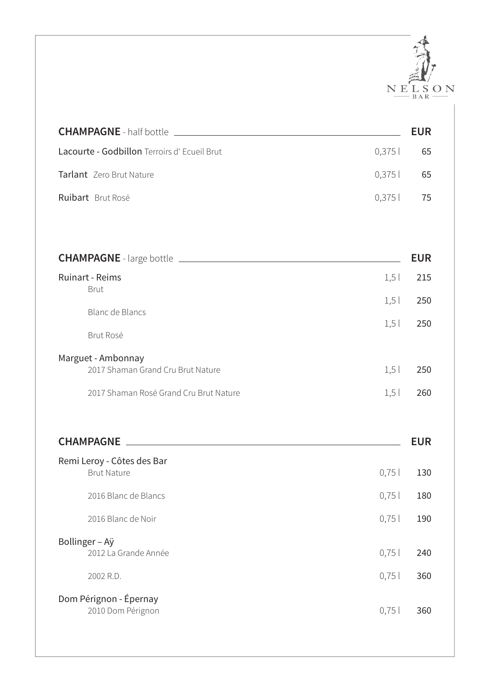

| <b>CHAMPAGNE</b> - half bottle <b>Lating CHAMPAGNE</b> - half bottle |         | <b>EUR</b> |
|----------------------------------------------------------------------|---------|------------|
| Lacourte - Godbillon Terroirs d'Ecueil Brut                          | 0,375   | 65         |
| Tarlant Zero Brut Nature                                             | 0,375   | 65         |
| Ruibart Brut Rosé                                                    | 0,375   | 75         |
|                                                                      |         |            |
|                                                                      |         | <b>EUR</b> |
| <b>Ruinart - Reims</b><br><b>Brut</b>                                | $1,5$ l | 215        |
| <b>Blanc de Blancs</b>                                               | $1,5$ l | 250        |
| Brut Rosé                                                            | 1,5     | 250        |
| Marguet - Ambonnay<br>2017 Shaman Grand Cru Brut Nature              | 1,5     | 250        |
| 2017 Shaman Rosé Grand Cru Brut Nature                               | 1,5     | 260        |
|                                                                      |         | <b>EUR</b> |
| Remi Leroy - Côtes des Bar<br><b>Brut Nature</b>                     | 0,75    | 130        |
| 2016 Blanc de Blancs                                                 | 0,75    | 180        |
| 2016 Blanc de Noir                                                   | 0,75    | 190        |
| Bollinger - Aÿ<br>2012 La Grande Année                               | 0,751   | 240        |
| 2002 R.D.                                                            | 0,75    | 360        |
| Dom Pérignon - Épernay<br>2010 Dom Pérignon                          | 0,75    | 360        |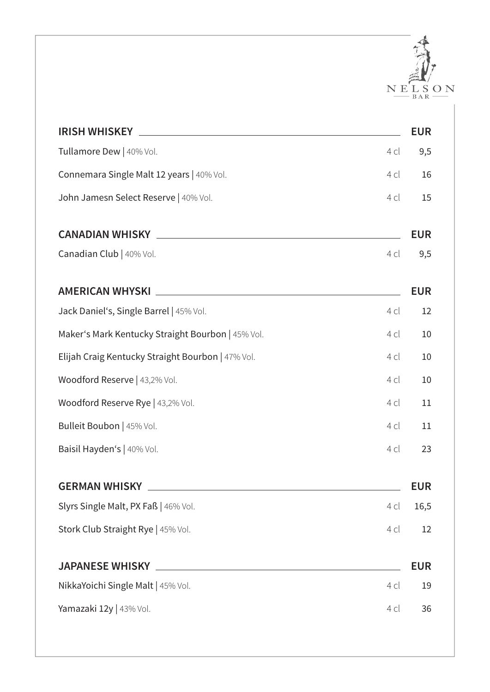

| <b>IRISH WHISKEY</b>                                                    | <b>EUR</b> |
|-------------------------------------------------------------------------|------------|
| Tullamore Dew   40% Vol.<br>4 cl                                        | 9,5        |
| Connemara Single Malt 12 years   40% Vol.<br>4 cl                       | 16         |
| John Jamesn Select Reserve   40% Vol.<br>4 cl                           | 15         |
| <b>CANADIAN WHISKY</b>                                                  | <b>EUR</b> |
| Canadian Club   40% Vol.<br>4 cl                                        | 9,5        |
| <b>AMERICAN WHYSKI</b>                                                  | <b>EUR</b> |
| Jack Daniel's, Single Barrel   45% Vol.<br>4 cl                         | 12         |
| Maker's Mark Kentucky Straight Bourbon   45% Vol.<br>4 cl               | 10         |
| Elijah Craig Kentucky Straight Bourbon   47% Vol.<br>4 cl               | 10         |
| Woodford Reserve   43,2% Vol.<br>4 cl                                   | 10         |
| Woodford Reserve Rye   43,2% Vol.<br>4 cl                               | 11         |
| Bulleit Boubon   45% Vol.<br>4 cl                                       | 11         |
| Baisil Hayden's   40% Vol.<br>4 cl                                      | 23         |
| <b>GERMAN WHISKY</b>                                                    | <b>EUR</b> |
| Slyrs Single Malt, PX Faß   46% Vol.<br>4 cl                            | 16,5       |
| Stork Club Straight Rye   45% Vol.<br>4 cl                              | 12         |
| <b>JAPANESE WHISKY</b><br><u> 1980 - Andrea Andrew Maria (h. 1980).</u> | <b>EUR</b> |
| NikkaYoichi Single Malt   45% Vol.<br>4 cl                              | 19         |
| Yamazaki 12y   43% Vol.<br>4 cl                                         | 36         |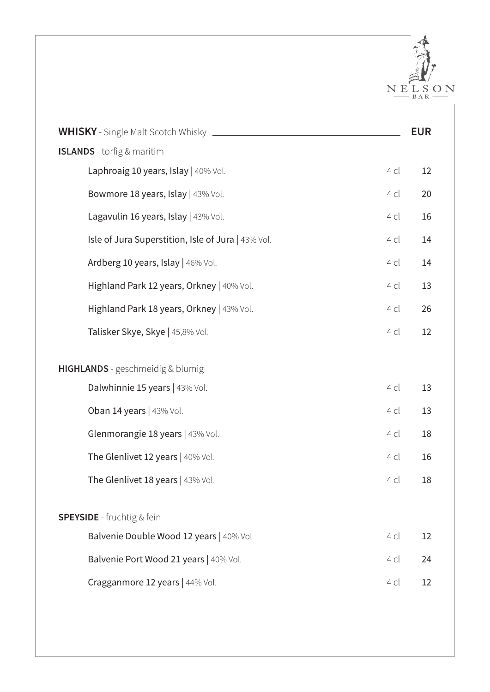

| <b>WHISKY</b> - Single Malt Scotch Whisky _________        | <b>EUR</b> |
|------------------------------------------------------------|------------|
| <b>ISLANDS</b> - torfig & maritim                          |            |
| Laphroaig 10 years, Islay   40% Vol.<br>4 cl               | 12         |
| Bowmore 18 years, Islay   43% Vol.<br>4 cl                 | 20         |
| Lagavulin 16 years, Islay   43% Vol.<br>4 cl               | 16         |
| Isle of Jura Superstition, Isle of Jura   43% Vol.<br>4 cl | 14         |
| Ardberg 10 years, Islay   46% Vol.<br>4 cl                 | 14         |
| Highland Park 12 years, Orkney   40% Vol.<br>4 cl          | 13         |
| Highland Park 18 years, Orkney   43% Vol.<br>4 cl          | 26         |
| Talisker Skye, Skye   45,8% Vol.<br>4 cl                   | 12         |
| HIGHLANDS - geschmeidig & blumig                           |            |
| Dalwhinnie 15 years   43% Vol.<br>4 cl                     | 13         |
| Oban 14 years   43% Vol.<br>4 cl                           | 13         |
| Glenmorangie 18 years   43% Vol.<br>4 cl                   | 18         |
| The Glenlivet 12 years   40% Vol.<br>4 cl                  | 16         |
| The Glenlivet 18 years   43% Vol.<br>4 cl                  | 18         |
|                                                            |            |
| <b>SPEYSIDE</b> - fruchtig & fein                          |            |
| Balvenie Double Wood 12 years   40% Vol.<br>4 cl           | 12         |
| Balvenie Port Wood 21 years   40% Vol.<br>4 cl             | 24         |
| Cragganmore 12 years   44% Vol.<br>4 cl                    | 12         |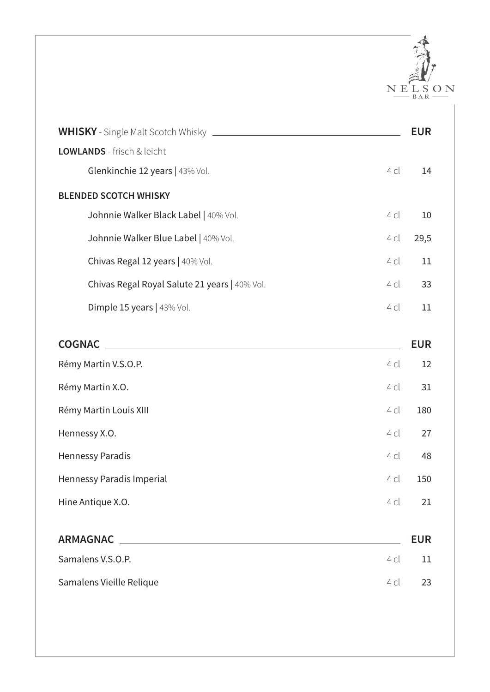

|                                                       | <b>EUR</b> |
|-------------------------------------------------------|------------|
| LOWLANDS - frisch & leicht                            |            |
| Glenkinchie 12 years   43% Vol.<br>4 cl               | 14         |
| <b>BLENDED SCOTCH WHISKY</b>                          |            |
| Johnnie Walker Black Label   40% Vol.<br>4 cl         | 10         |
| Johnnie Walker Blue Label   40% Vol.<br>4 cl          | 29,5       |
| Chivas Regal 12 years   40% Vol.<br>4 cl              | 11         |
| Chivas Regal Royal Salute 21 years   40% Vol.<br>4 cl | 33         |
| Dimple 15 years   43% Vol.<br>4 cl                    | 11         |
| <b>COGNAC</b>                                         | <b>EUR</b> |
| Rémy Martin V.S.O.P.<br>4 cl                          | 12         |
| Rémy Martin X.O.<br>4 cl                              | 31         |
| Rémy Martin Louis XIII<br>4 cl                        | 180        |
| Hennessy X.O.<br>4 cl                                 | 27         |
| <b>Hennessy Paradis</b><br>4 cl                       | 48         |
| Hennessy Paradis Imperial<br>4 cl                     | 150        |
| Hine Antique X.O.<br>4 cl                             | 21         |
| <b>ARMAGNAC</b>                                       | <b>EUR</b> |
| Samalens V.S.O.P.<br>4 cl                             | 11         |
| Samalens Vieille Relique<br>4 cl                      | 23         |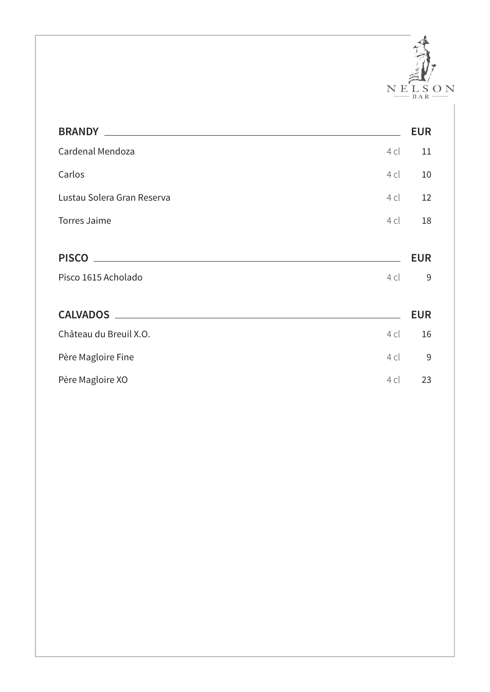

| <b>BRANDY</b>                                                                 |      | <b>EUR</b> |
|-------------------------------------------------------------------------------|------|------------|
| Cardenal Mendoza                                                              | 4 cl | 11         |
| Carlos                                                                        | 4 cl | 10         |
| Lustau Solera Gran Reserva                                                    | 4 cl | 12         |
| <b>Torres Jaime</b>                                                           | 4 cl | 18         |
|                                                                               |      |            |
| <b>PISCO</b><br><u> 1989 - Johann Stein, mars an deutscher Stein († 1989)</u> |      | <b>EUR</b> |
| Pisco 1615 Acholado                                                           | 4 cl | 9          |
|                                                                               |      |            |
| <b>CALVADOS</b><br><u> 1980 - Jan Samuel Barbara, martin di</u>               |      | <b>EUR</b> |
| Château du Breuil X.O.                                                        | 4 cl | 16         |
| Père Magloire Fine                                                            | 4 cl | 9          |
| Père Magloire XO                                                              | 4 cl | 23         |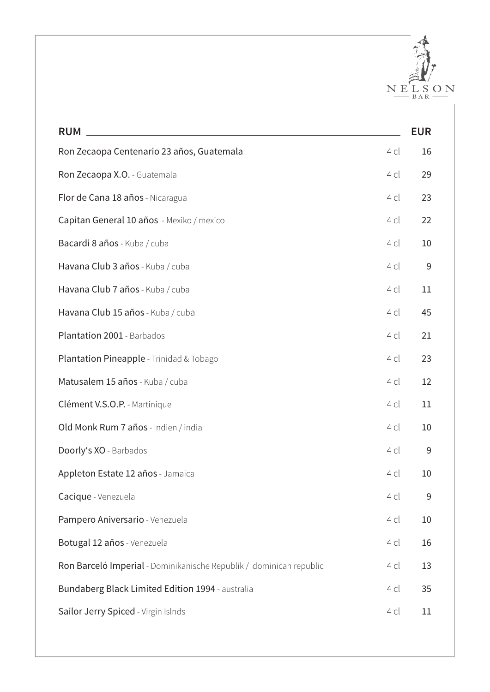

| <b>RUM</b>                                                          |        | <b>EUR</b> |
|---------------------------------------------------------------------|--------|------------|
| Ron Zecaopa Centenario 23 años, Guatemala                           | $4$ cl | 16         |
| Ron Zecaopa X.O. - Guatemala                                        | 4 cl   | 29         |
| Flor de Cana 18 años - Nicaragua                                    | 4 cl   | 23         |
| Capitan General 10 años - Mexiko / mexico                           | 4 cl   | 22         |
| Bacardi 8 años - Kuba / cuba                                        | 4 cl   | 10         |
| Havana Club 3 años - Kuba / cuba                                    | 4 cl   | 9          |
| Havana Club 7 años - Kuba / cuba                                    | 4 cl   | 11         |
| Havana Club 15 años - Kuba / cuba                                   | $4$ cl | 45         |
| Plantation 2001 - Barbados                                          | 4 cl   | 21         |
| Plantation Pineapple - Trinidad & Tobago                            | 4 cl   | 23         |
| Matusalem 15 años - Kuba / cuba                                     | $4$ cl | 12         |
| Clément V.S.O.P. - Martinique                                       | 4 cl   | 11         |
| Old Monk Rum 7 años - Indien / india                                | $4$ cl | 10         |
| Doorly's XO - Barbados                                              | $4$ cl | 9          |
| Appleton Estate 12 años - Jamaica                                   | 4 cl   | 10         |
| Cacique - Venezuela                                                 | 4 cl   | 9          |
| Pampero Aniversario - Venezuela                                     | 4 cl   | 10         |
| Botugal 12 años - Venezuela                                         | 4 cl   | 16         |
| Ron Barceló Imperial - Dominikanische Republik / dominican republic | 4 cl   | 13         |
| Bundaberg Black Limited Edition 1994 - australia                    | 4 cl   | 35         |
| Sailor Jerry Spiced - Virgin Islnds                                 | 4 cl   | 11         |
|                                                                     |        |            |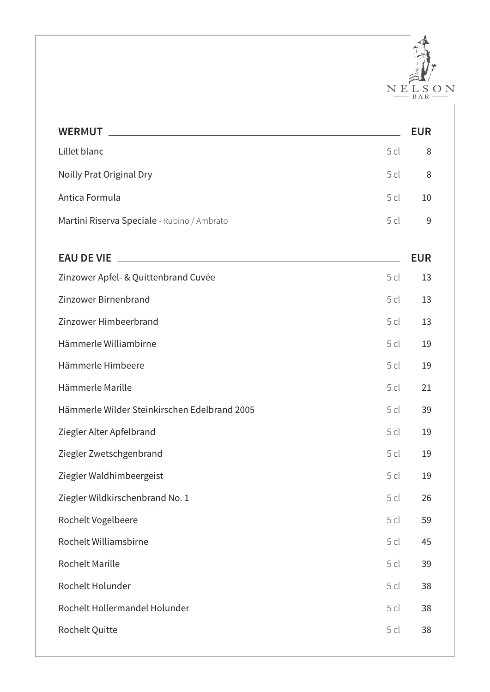

| <b>WERMUT Example 2008 Manufacturer Manufacturer Manufacturer Manufacturer Manufacturer Manufacturer Manufacturer</b>                                                                                                                                     |      | <b>EUR</b> |
|-----------------------------------------------------------------------------------------------------------------------------------------------------------------------------------------------------------------------------------------------------------|------|------------|
| Lillet blanc                                                                                                                                                                                                                                              | 5 cl | 8          |
| Noilly Prat Original Dry                                                                                                                                                                                                                                  | 5 cl | 8          |
| Antica Formula                                                                                                                                                                                                                                            | 5 cl | 10         |
| Martini Riserva Speciale - Rubino / Ambrato                                                                                                                                                                                                               | 5cl  | 9          |
| <b>EAU DE VIE</b><br><u> Andreas Andreas Andreas Andreas Andreas Andreas Andreas Andreas Andreas Andreas Andreas Andreas Andreas Andreas Andreas Andreas Andreas Andreas Andreas Andreas Andreas Andreas Andreas Andreas Andreas Andreas Andreas Andr</u> |      | <b>EUR</b> |
| Zinzower Apfel- & Quittenbrand Cuvée                                                                                                                                                                                                                      | 5 cl | 13         |
| Zinzower Birnenbrand                                                                                                                                                                                                                                      | 5cl  | 13         |
| Zinzower Himbeerbrand                                                                                                                                                                                                                                     | 5 cl | 13         |
| Hämmerle Williambirne                                                                                                                                                                                                                                     | 5 cl | 19         |
| Hämmerle Himbeere                                                                                                                                                                                                                                         | 5cl  | 19         |
| Hämmerle Marille                                                                                                                                                                                                                                          | 5 cl | 21         |
| Hämmerle Wilder Steinkirschen Edelbrand 2005                                                                                                                                                                                                              | 5cl  | 39         |
| Ziegler Alter Apfelbrand                                                                                                                                                                                                                                  | 5 cl | 19         |
| Ziegler Zwetschgenbrand                                                                                                                                                                                                                                   | 5cl  | 19         |
| Ziegler Waldhimbeergeist                                                                                                                                                                                                                                  | 5cl  | 19         |
| Ziegler Wildkirschenbrand No. 1                                                                                                                                                                                                                           | 5cl  | 26         |
| Rochelt Vogelbeere                                                                                                                                                                                                                                        | 5cl  | 59         |
| Rochelt Williamsbirne                                                                                                                                                                                                                                     | 5cl  | 45         |
| <b>Rochelt Marille</b>                                                                                                                                                                                                                                    | 5cl  | 39         |
| Rochelt Holunder                                                                                                                                                                                                                                          | 5cl  | 38         |
| Rochelt Hollermandel Holunder                                                                                                                                                                                                                             | 5 cl | 38         |
| Rochelt Quitte                                                                                                                                                                                                                                            | 5cl  | 38         |
|                                                                                                                                                                                                                                                           |      |            |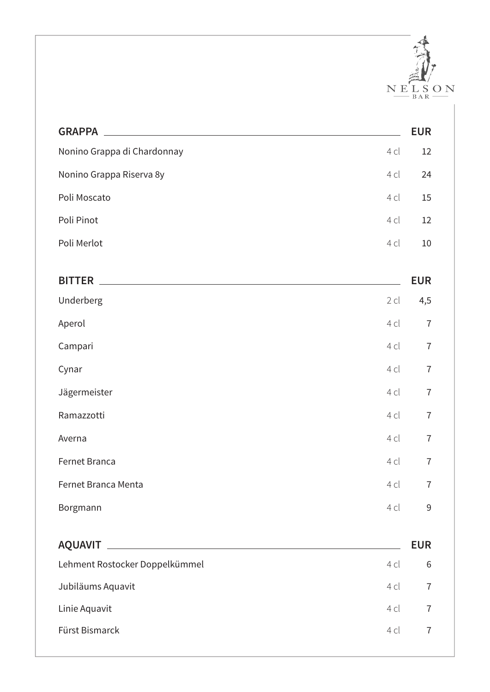

| <b>GRAPPA</b>                  |        | <b>EUR</b>     |
|--------------------------------|--------|----------------|
| Nonino Grappa di Chardonnay    | 4 cl   | 12             |
| Nonino Grappa Riserva 8y       | 4 cl   | 24             |
| Poli Moscato                   | 4 cl   | 15             |
| Poli Pinot                     | 4 cl   | 12             |
| Poli Merlot                    | 4 cl   | 10             |
| <b>BITTER</b>                  |        | <b>EUR</b>     |
| Underberg                      | $2$ cl | 4,5            |
| Aperol                         | 4 cl   | $\overline{7}$ |
| Campari                        | 4 cl   | $\overline{7}$ |
| Cynar                          | 4 cl   | $\overline{7}$ |
| Jägermeister                   | 4 cl   | $\overline{7}$ |
| Ramazzotti                     | 4 cl   | $\overline{7}$ |
| Averna                         | 4 cl   | $\overline{7}$ |
| Fernet Branca                  | 4 cl   | $\overline{7}$ |
| Fernet Branca Menta            | 4 cl   | $\overline{I}$ |
| Borgmann                       | 4 cl   | 9              |
|                                |        | <b>EUR</b>     |
| Lehment Rostocker Doppelkümmel | 4 cl   | 6              |
| Jubiläums Aquavit              | 4 cl   | $\overline{7}$ |
| Linie Aquavit                  | 4 cl   | $\overline{7}$ |
| Fürst Bismarck                 | 4 cl   | $\overline{7}$ |
|                                |        |                |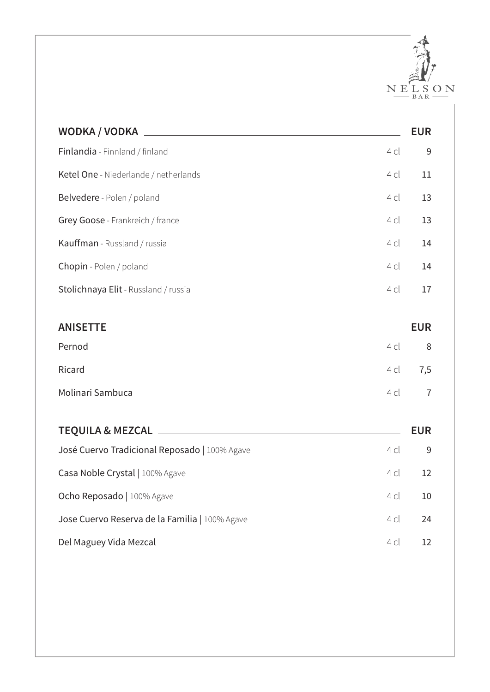

| WODKA / VODKA                                                    |        | <b>EUR</b>     |
|------------------------------------------------------------------|--------|----------------|
| Finlandia - Finnland / finland                                   | $4$ cl | 9              |
| Ketel One - Niederlande / netherlands                            | 4 cl   | 11             |
| Belvedere - Polen / poland                                       | 4 cl   | 13             |
| Grey Goose - Frankreich / france                                 | 4 cl   | 13             |
| Kauffman - Russland / russia                                     | 4 cl   | 14             |
| Chopin - Polen / poland                                          | 4 cl   | 14             |
| Stolichnaya Elit - Russland / russia                             | 4 cl   | 17             |
|                                                                  |        |                |
| <b>ANISETTE</b><br><u> 1980 - Andrea Andrew Maria (h. 1980).</u> |        | <b>EUR</b>     |
| Pernod                                                           | $4$ cl | 8              |
| Ricard                                                           | 4 cl   | 7,5            |
| Molinari Sambuca                                                 | $4$ cl | $\overline{7}$ |
|                                                                  |        |                |
| <b>TEQUILA &amp; MEZCAL</b>                                      |        | <b>EUR</b>     |
| José Cuervo Tradicional Reposado   100% Agave                    | $4$ cl | 9              |
| Casa Noble Crystal   100% Agave                                  | 4 cl   | 12             |
| Ocho Reposado   100% Agave                                       | 4 cl   | 10             |
| Jose Cuervo Reserva de la Familia   100% Agave                   | 4 cl   | 24             |
| Del Maguey Vida Mezcal                                           | 4 cl   | 12             |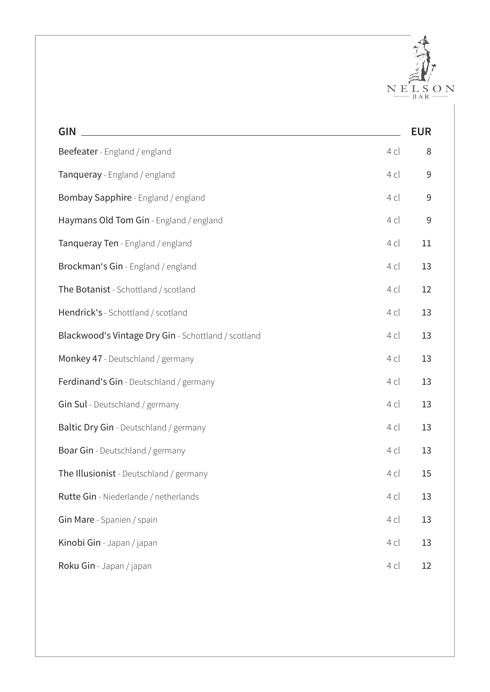

| <b>GIN</b>                                          |      | <b>EUR</b> |
|-----------------------------------------------------|------|------------|
| Beefeater - England / england                       | 4 cl | 8          |
| Tanqueray - England / england                       | 4 cl | $9\,$      |
| Bombay Sapphire - England / england                 | 4 cl | $9$        |
| Haymans Old Tom Gin - England / england             | 4 cl | 9          |
| Tanqueray Ten - England / england                   | 4 cl | 11         |
| Brockman's Gin - England / england                  | 4 cl | 13         |
| The Botanist - Schottland / scotland                | 4 cl | 12         |
| Hendrick's - Schottland / scotland                  | 4 cl | 13         |
| Blackwood's Vintage Dry Gin - Schottland / scotland | 4 cl | 13         |
| Monkey 47 - Deutschland / germany                   | 4 cl | 13         |
| Ferdinand's Gin - Deutschland / germany             | 4 cl | 13         |
| Gin Sul - Deutschland / germany                     | 4 cl | 13         |
| Baltic Dry Gin - Deutschland / germany              | 4 cl | 13         |
| Boar Gin - Deutschland / germany                    | 4 cl | 13         |
| The Illusionist - Deutschland / germany             | 4 cl | 15         |
| Rutte Gin - Niederlande / netherlands               | 4 cl | 13         |
| Gin Mare - Spanien / spain                          | 4 cl | 13         |
| Kinobi Gin - Japan / japan                          | 4 cl | 13         |
| Roku Gin - Japan / japan                            | 4 cl | 12         |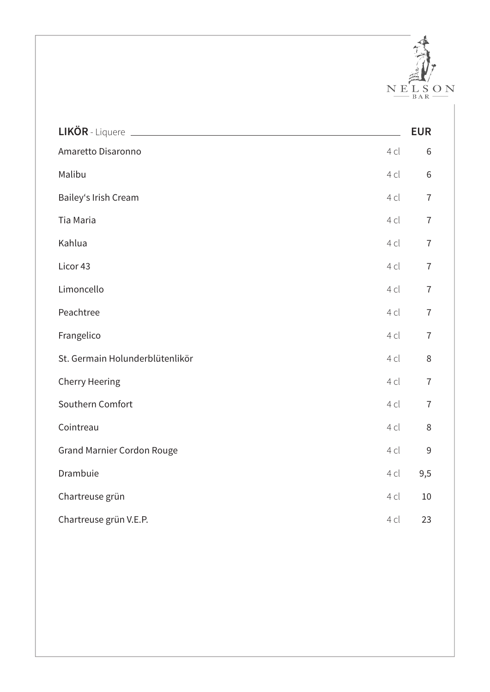

|                                   |      | <b>EUR</b>     |
|-----------------------------------|------|----------------|
| Amaretto Disaronno                | 4 cl | 6              |
| Malibu                            | 4 cl | $6\,$          |
| Bailey's Irish Cream              | 4 cl | $\overline{7}$ |
| Tia Maria                         | 4 cl | $\overline{7}$ |
| Kahlua                            | 4 cl | $\overline{7}$ |
| Licor 43                          | 4 cl | $\overline{7}$ |
| Limoncello                        | 4 cl | $\overline{7}$ |
| Peachtree                         | 4 cl | $\overline{7}$ |
| Frangelico                        | 4 cl | $\overline{7}$ |
| St. Germain Holunderblütenlikör   | 4 cl | $\, 8$         |
| <b>Cherry Heering</b>             | 4 cl | $\overline{7}$ |
| Southern Comfort                  | 4 cl | $\overline{7}$ |
| Cointreau                         | 4 cl | 8              |
| <b>Grand Marnier Cordon Rouge</b> | 4 cl | 9              |
| Drambuie                          | 4 cl | 9,5            |
| Chartreuse grün                   | 4 cl | 10             |
| Chartreuse grün V.E.P.            | 4 cl | 23             |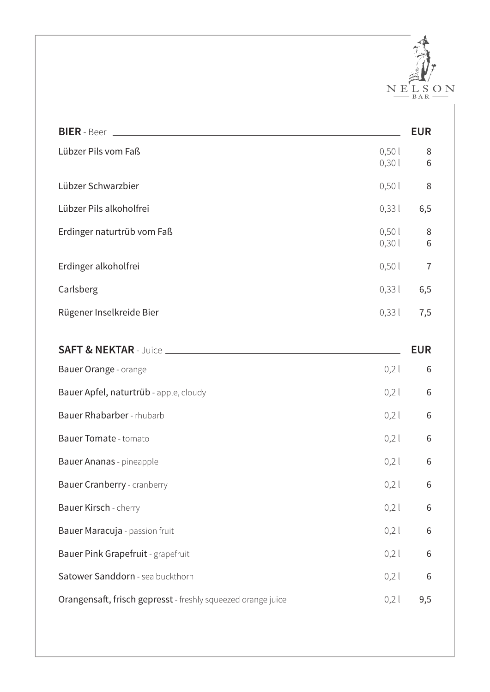

| <b>BIER</b> - Beer                                           |                | <b>EUR</b>     |
|--------------------------------------------------------------|----------------|----------------|
| Lübzer Pils vom Faß                                          | 0,501<br>0,301 | 8<br>6         |
| Lübzer Schwarzbier                                           | 0,50           | 8              |
| Lübzer Pils alkoholfrei                                      | 0,331          | 6,5            |
| Erdinger naturtrüb vom Faß                                   | 0,50<br>0,301  | 8<br>6         |
| Erdinger alkoholfrei                                         | 0,501          | $\overline{7}$ |
| Carlsberg                                                    | 0,331          | 6,5            |
| Rügener Inselkreide Bier                                     | 0,331          | 7,5            |
|                                                              |                |                |
|                                                              |                | <b>EUR</b>     |
| Bauer Orange - orange                                        | 0,2            | 6              |
| Bauer Apfel, naturtrüb - apple, cloudy                       | 0,2            | 6              |
| Bauer Rhabarber - rhubarb                                    | 0,2            | 6              |
| <b>Bauer Tomate - tomato</b>                                 | 0,2            | 6              |
| Bauer Ananas - pineapple                                     | 0,2            | 6              |
| Bauer Cranberry - cranberry                                  | 0,2            | 6              |
| Bauer Kirsch - cherry                                        | 0,2            | 6              |
| Bauer Maracuja - passion fruit                               | 0,2            | 6              |
| Bauer Pink Grapefruit - grapefruit                           | 0,2            | 6              |
| Satower Sanddorn - sea buckthorn                             | 0,2            | 6              |
| Orangensaft, frisch gepresst - freshly squeezed orange juice | 0,2            | 9,5            |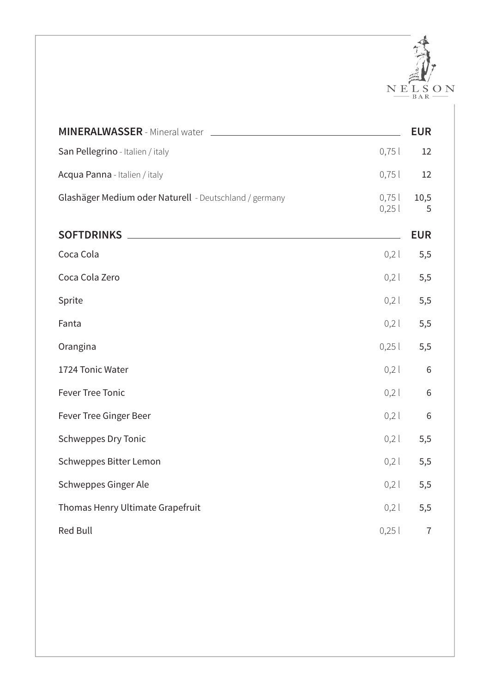

|                                                                                          |              | <b>EUR</b> |
|------------------------------------------------------------------------------------------|--------------|------------|
| San Pellegrino - Italien / italy                                                         | 0,75         | 12         |
| Acqua Panna - Italien / italy                                                            | 0,75         | 12         |
| Glashäger Medium oder Naturell - Deutschland / germany                                   | 0,75<br>0,25 | 10,5<br>5  |
| <b>SOFTDRINKS</b><br><u> 1980 - Andrea Station Barbara, amerikan personal (h. 1980).</u> |              | <b>EUR</b> |
| Coca Cola                                                                                | 0,2          | 5,5        |
| Coca Cola Zero                                                                           | 0,2          | 5,5        |
| Sprite                                                                                   | 0,2          | 5,5        |
| Fanta                                                                                    | 0,2          | 5,5        |
| Orangina                                                                                 | 0,25         | 5,5        |
| 1724 Tonic Water                                                                         | 0,2          | $\sqrt{6}$ |
| <b>Fever Tree Tonic</b>                                                                  | 0,2          | $6\,$      |
| Fever Tree Ginger Beer                                                                   | 0,2          | $6\,$      |
| <b>Schweppes Dry Tonic</b>                                                               | 0,2          | 5,5        |
| Schweppes Bitter Lemon                                                                   | 0,2          | 5,5        |
| Schweppes Ginger Ale                                                                     | 0,2          | 5,5        |
| Thomas Henry Ultimate Grapefruit                                                         | 0,2          | 5,5        |
| <b>Red Bull</b>                                                                          | 0,25         | $\sqrt{ }$ |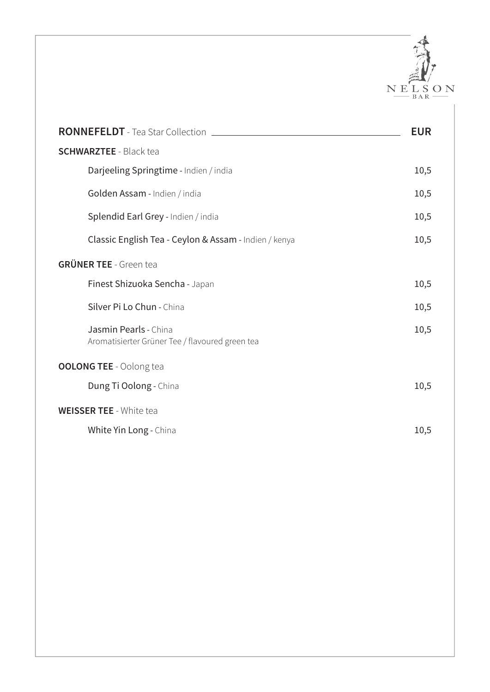

| RONNEFELDT - Tea Star Collection ________                                | <b>EUR</b> |
|--------------------------------------------------------------------------|------------|
| <b>SCHWARZTEE - Black tea</b>                                            |            |
| Darjeeling Springtime - Indien / india                                   | 10,5       |
| Golden Assam - Indien / india                                            | 10,5       |
| Splendid Earl Grey - Indien / india                                      | 10,5       |
| Classic English Tea - Ceylon & Assam - Indien / kenya                    | 10,5       |
| <b>GRÜNER TEE - Green tea</b>                                            |            |
| Finest Shizuoka Sencha - Japan                                           | 10,5       |
| Silver Pi Lo Chun - China                                                | 10,5       |
| Jasmin Pearls - China<br>Aromatisierter Grüner Tee / flavoured green tea | 10,5       |
| <b>OOLONG TEE - Oolong tea</b>                                           |            |
| Dung Ti Oolong - China                                                   | 10,5       |
| <b>WEISSER TEE - White tea</b>                                           |            |
| White Yin Long - China                                                   | 10,5       |